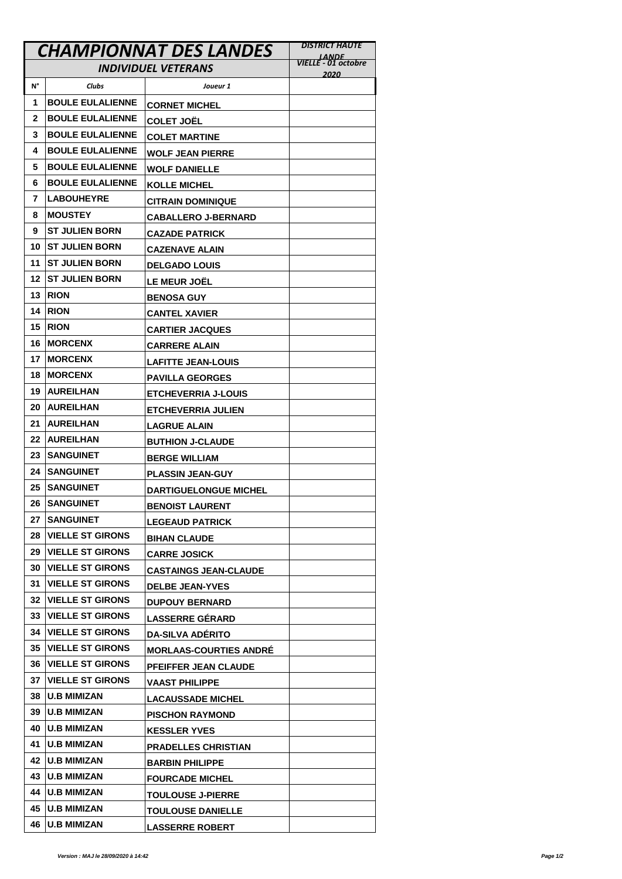|                            | <b>CHAMPIONNAT DES LANDES</b> | <b>DISTRICT HAUTE</b>         |                                             |
|----------------------------|-------------------------------|-------------------------------|---------------------------------------------|
| <b>INDIVIDUEL VETERANS</b> |                               |                               | <u>LANDE </u><br><b>VIELLE - 01 octobre</b> |
| N°                         | <b>Clubs</b>                  | Joueur 1                      | 2020                                        |
| 1                          | <b>BOULE EULALIENNE</b>       |                               |                                             |
| 2                          | <b>BOULE EULALIENNE</b>       | <b>CORNET MICHEL</b>          |                                             |
| 3                          | <b>BOULE EULALIENNE</b>       | <b>COLET JOËL</b>             |                                             |
| 4                          | <b>BOULE EULALIENNE</b>       | COLET MARTINE                 |                                             |
| 5                          | <b>BOULE EULALIENNE</b>       | <b>WOLF JEAN PIERRE</b>       |                                             |
| 6                          | <b>BOULE EULALIENNE</b>       | <b>WOLF DANIELLE</b>          |                                             |
| 7                          | <b>LABOUHEYRE</b>             | <b>KOLLE MICHEL</b>           |                                             |
| 8                          | <b>MOUSTEY</b>                | <b>CITRAIN DOMINIQUE</b>      |                                             |
| 9                          | <b>ST JULIEN BORN</b>         | <b>CABALLERO J-BERNARD</b>    |                                             |
| 10                         | <b>ST JULIEN BORN</b>         | <b>CAZADE PATRICK</b>         |                                             |
| 11                         | <b>ST JULIEN BORN</b>         | <b>CAZENAVE ALAIN</b>         |                                             |
| 12                         | <b>ST JULIEN BORN</b>         | <b>DELGADO LOUIS</b>          |                                             |
| 13                         | <b>RION</b>                   | <b>LE MEUR JOËL</b>           |                                             |
|                            | <b>RION</b>                   | <b>BENOSA GUY</b>             |                                             |
| 14                         |                               | <b>CANTEL XAVIER</b>          |                                             |
| 15                         | <b>RION</b>                   | <b>CARTIER JACQUES</b>        |                                             |
| 16                         | <b>MORCENX</b>                | <b>CARRERE ALAIN</b>          |                                             |
| 17                         | <b>MORCENX</b>                | <b>LAFITTE JEAN-LOUIS</b>     |                                             |
| 18                         | <b>MORCENX</b>                | <b>PAVILLA GEORGES</b>        |                                             |
| 19                         | <b>AUREILHAN</b>              | <b>ETCHEVERRIA J-LOUIS</b>    |                                             |
| 20                         | <b>AUREILHAN</b>              | <b>ETCHEVERRIA JULIEN</b>     |                                             |
| 21                         | <b>AUREILHAN</b>              | <b>LAGRUE ALAIN</b>           |                                             |
| 22                         | <b>AUREILHAN</b>              | <b>BUTHION J-CLAUDE</b>       |                                             |
| 23                         | <b>SANGUINET</b>              | <b>BERGE WILLIAM</b>          |                                             |
| 24                         | <b>SANGUINET</b>              | <b>PLASSIN JEAN-GUY</b>       |                                             |
| 25                         | <b>SANGUINET</b>              | <b>DARTIGUELONGUE MICHEL</b>  |                                             |
| 26                         | <b>SANGUINET</b>              | <b>BENOIST LAURENT</b>        |                                             |
| 27                         | <b>SANGUINET</b>              | <b>LEGEAUD PATRICK</b>        |                                             |
| 28                         | <b>VIELLE ST GIRONS</b>       | <b>BIHAN CLAUDE</b>           |                                             |
| 29                         | <b>VIELLE ST GIRONS</b>       | <b>CARRE JOSICK</b>           |                                             |
| 30                         | <b>VIELLE ST GIRONS</b>       | <b>CASTAINGS JEAN-CLAUDE</b>  |                                             |
| 31                         | <b>VIELLE ST GIRONS</b>       | <b>DELBE JEAN-YVES</b>        |                                             |
| 32                         | <b>VIELLE ST GIRONS</b>       | <b>DUPOUY BERNARD</b>         |                                             |
| 33                         | <b>VIELLE ST GIRONS</b>       | <b>LASSERRE GÉRARD</b>        |                                             |
|                            | <b>34  VIELLE ST GIRONS</b>   | <b>DA-SILVA ADERITO</b>       |                                             |
| 35                         | <b>VIELLE ST GIRONS</b>       | <b>MORLAAS-COURTIES ANDRE</b> |                                             |
| 36                         | <b>VIELLE ST GIRONS</b>       | PFEIFFER JEAN CLAUDE          |                                             |
| 37                         | <b>VIELLE ST GIRONS</b>       | VAAST PHILIPPE                |                                             |
| 38                         | <b>U.B MIMIZAN</b>            | <b>LACAUSSADE MICHEL</b>      |                                             |
| 39                         | <b>U.B MIMIZAN</b>            | <b>PISCHON RAYMOND</b>        |                                             |
| 40                         | <b>U.B MIMIZAN</b>            | <b>KESSLER YVES</b>           |                                             |
| 41                         | <b>U.B MIMIZAN</b>            | <b>PRADELLES CHRISTIAN</b>    |                                             |
|                            | 42  U.B MIMIZAN               | <b>BARBIN PHILIPPE</b>        |                                             |
| 43                         | <b>U.B MIMIZAN</b>            | <b>FOURCADE MICHEL</b>        |                                             |
|                            | 44  U.B MIMIZAN               | <b>TOULOUSE J-PIERRE</b>      |                                             |
| 45                         | <b>U.B MIMIZAN</b>            | <b>TOULOUSE DANIELLE</b>      |                                             |
| 46                         | <b>U.B MIMIZAN</b>            | <b>LASSERRE ROBERT</b>        |                                             |